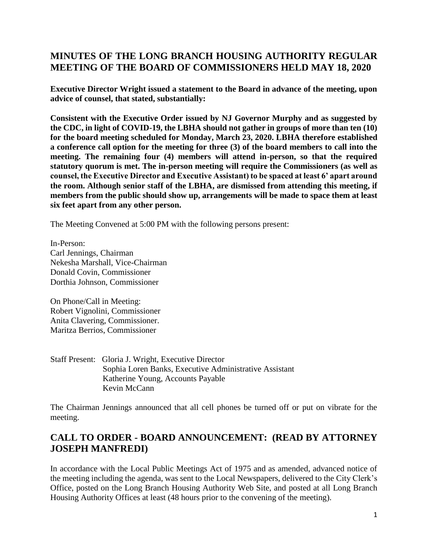## **MINUTES OF THE LONG BRANCH HOUSING AUTHORITY REGULAR MEETING OF THE BOARD OF COMMISSIONERS HELD MAY 18, 2020**

**Executive Director Wright issued a statement to the Board in advance of the meeting, upon advice of counsel, that stated, substantially:** 

**Consistent with the Executive Order issued by NJ Governor Murphy and as suggested by the CDC, in light of COVID-19, the LBHA should not gather in groups of more than ten (10) for the board meeting scheduled for Monday, March 23, 2020. LBHA therefore established a conference call option for the meeting for three (3) of the board members to call into the meeting. The remaining four (4) members will attend in-person, so that the required statutory quorum is met. The in-person meeting will require the Commissioners (as well as counsel, the Executive Director and Executive Assistant) to be spaced at least 6' apart around the room. Although senior staff of the LBHA, are dismissed from attending this meeting, if members from the public should show up, arrangements will be made to space them at least six feet apart from any other person.**

The Meeting Convened at 5:00 PM with the following persons present:

In-Person: Carl Jennings, Chairman Nekesha Marshall, Vice-Chairman Donald Covin, Commissioner Dorthia Johnson, Commissioner

On Phone/Call in Meeting: Robert Vignolini, Commissioner Anita Clavering, Commissioner. Maritza Berrios, Commissioner

Staff Present: Gloria J. Wright, Executive Director Sophia Loren Banks, Executive Administrative Assistant Katherine Young, Accounts Payable Kevin McCann

The Chairman Jennings announced that all cell phones be turned off or put on vibrate for the meeting.

# **CALL TO ORDER - BOARD ANNOUNCEMENT: (READ BY ATTORNEY JOSEPH MANFREDI)**

In accordance with the Local Public Meetings Act of 1975 and as amended, advanced notice of the meeting including the agenda, was sent to the Local Newspapers, delivered to the City Clerk's Office, posted on the Long Branch Housing Authority Web Site, and posted at all Long Branch Housing Authority Offices at least (48 hours prior to the convening of the meeting).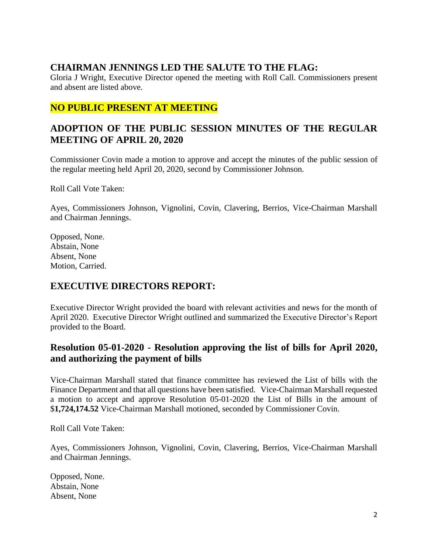## **CHAIRMAN JENNINGS LED THE SALUTE TO THE FLAG:**

Gloria J Wright, Executive Director opened the meeting with Roll Call. Commissioners present and absent are listed above.

## **NO PUBLIC PRESENT AT MEETING**

## **ADOPTION OF THE PUBLIC SESSION MINUTES OF THE REGULAR MEETING OF APRIL 20, 2020**

Commissioner Covin made a motion to approve and accept the minutes of the public session of the regular meeting held April 20, 2020, second by Commissioner Johnson.

Roll Call Vote Taken:

Ayes, Commissioners Johnson, Vignolini, Covin, Clavering, Berrios, Vice-Chairman Marshall and Chairman Jennings.

Opposed, None. Abstain, None Absent, None Motion, Carried.

### **EXECUTIVE DIRECTORS REPORT:**

Executive Director Wright provided the board with relevant activities and news for the month of April 2020. Executive Director Wright outlined and summarized the Executive Director's Report provided to the Board.

## **Resolution 05-01-2020 - Resolution approving the list of bills for April 2020, and authorizing the payment of bills**

Vice-Chairman Marshall stated that finance committee has reviewed the List of bills with the Finance Department and that all questions have been satisfied. Vice-Chairman Marshall requested a motion to accept and approve Resolution 05-01-2020 the List of Bills in the amount of \$**1,724,174.52** Vice-Chairman Marshall motioned, seconded by Commissioner Covin.

Roll Call Vote Taken:

Ayes, Commissioners Johnson, Vignolini, Covin, Clavering, Berrios, Vice-Chairman Marshall and Chairman Jennings.

Opposed, None. Abstain, None Absent, None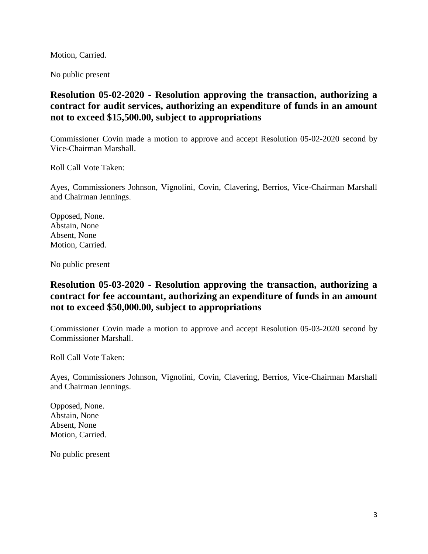Motion, Carried.

No public present

### **Resolution 05-02-2020 - Resolution approving the transaction, authorizing a contract for audit services, authorizing an expenditure of funds in an amount not to exceed \$15,500.00, subject to appropriations**

Commissioner Covin made a motion to approve and accept Resolution 05-02-2020 second by Vice-Chairman Marshall.

Roll Call Vote Taken:

Ayes, Commissioners Johnson, Vignolini, Covin, Clavering, Berrios, Vice-Chairman Marshall and Chairman Jennings.

Opposed, None. Abstain, None Absent, None Motion, Carried.

No public present

### **Resolution 05-03-2020 - Resolution approving the transaction, authorizing a contract for fee accountant, authorizing an expenditure of funds in an amount not to exceed \$50,000.00, subject to appropriations**

Commissioner Covin made a motion to approve and accept Resolution 05-03-2020 second by Commissioner Marshall.

Roll Call Vote Taken:

Ayes, Commissioners Johnson, Vignolini, Covin, Clavering, Berrios, Vice-Chairman Marshall and Chairman Jennings.

Opposed, None. Abstain, None Absent, None Motion, Carried.

No public present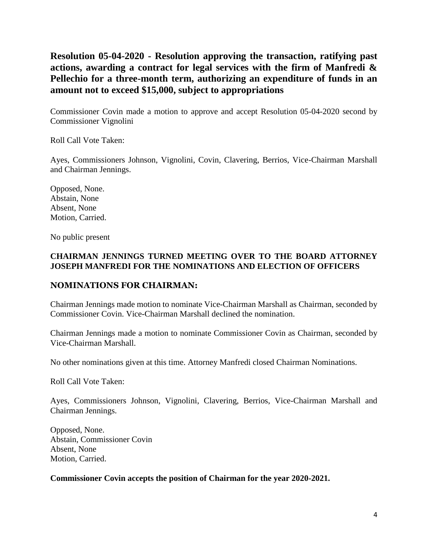**Resolution 05-04-2020 - Resolution approving the transaction, ratifying past actions, awarding a contract for legal services with the firm of Manfredi & Pellechio for a three-month term, authorizing an expenditure of funds in an amount not to exceed \$15,000, subject to appropriations**

Commissioner Covin made a motion to approve and accept Resolution 05-04-2020 second by Commissioner Vignolini

Roll Call Vote Taken:

Ayes, Commissioners Johnson, Vignolini, Covin, Clavering, Berrios, Vice-Chairman Marshall and Chairman Jennings.

Opposed, None. Abstain, None Absent, None Motion, Carried.

No public present

#### **CHAIRMAN JENNINGS TURNED MEETING OVER TO THE BOARD ATTORNEY JOSEPH MANFREDI FOR THE NOMINATIONS AND ELECTION OF OFFICERS**

#### **NOMINATIONS FOR CHAIRMAN:**

Chairman Jennings made motion to nominate Vice-Chairman Marshall as Chairman, seconded by Commissioner Covin. Vice-Chairman Marshall declined the nomination.

Chairman Jennings made a motion to nominate Commissioner Covin as Chairman, seconded by Vice-Chairman Marshall.

No other nominations given at this time. Attorney Manfredi closed Chairman Nominations.

Roll Call Vote Taken:

Ayes, Commissioners Johnson, Vignolini, Clavering, Berrios, Vice-Chairman Marshall and Chairman Jennings.

Opposed, None. Abstain, Commissioner Covin Absent, None Motion, Carried.

**Commissioner Covin accepts the position of Chairman for the year 2020-2021.**